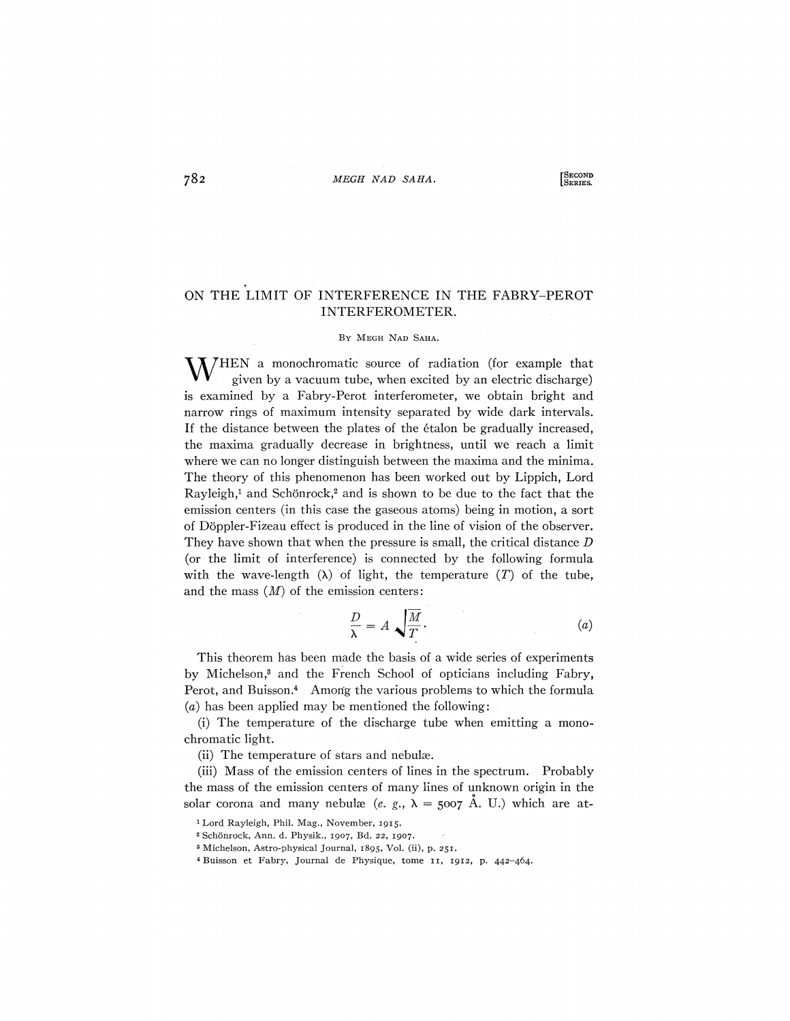## $782$  *MEGH NAD SAHA*.

**LSECOND**<br>SERIES.

## ON THE LIMIT OF INTERFERENCE IN THE FABRY-PEROT INTERFEROMETER.

## BY MEGH NAD SAHA.

 $M/HEN$  a monochromatic source of radiation (for example that given by a vacuum tube, when excited by an electric discharge) is examined by a Fabry-Perot interferometer, we obtain bright and narrow rings of maximum intensity separated by wide dark intervals. If the distance between the plates of the etalon be gradually increased, the maxima gradually decrease in brightness, until we reach a limit where we can no longer distinguish between the maxima and the minima. The theory of this phenomenon has been worked out by Lippich, Lord Rayleigh,<sup>1</sup> and Schönrock,<sup>2</sup> and is shown to be due to the fact that the emission centers (in this case the gaseous atoms) being in motion, a sort of Doppler-Fizeau effect is produced in the line of vision of the observer. They have shown that when the pressure is small, the critical distance *D*  (or the limit of interference) is connected by the following formula with the wave-length  $(\lambda)$  of light, the temperature  $(T)$  of the tube, and the mass *(M)* of the emission centers:

$$
\frac{D}{\lambda} = A \sqrt{\frac{M}{T}}.
$$
 (a)

This theorem has been made the basis of a wide series of experiments by Michelson,<sup>3</sup> and the French School of opticians including Fabry, Perot, and Buisson.<sup>4</sup> Among the various problems to which the formula *(a)* has been applied may be mentioned the following:

(i) The temperature of the discharge tube when emitting a monochromatic light.

(ii) The temperature of stars and nebulæ.

(iii) Mass of the emission centers of lines in the spectrum. Probably the mass of the emission centers of many lines of unknown origin in the solar corona and many nebulæ (e. g.,  $\lambda = 5007$  A. U.) which are at-

4 Buisson et Fabry, Journal de Physique, tome 11, 1912, p. 442-464.

<sup>1</sup> Lord Rayleigh, Phil. Mag., November, 1915.

<sup>2</sup> Schonrock, Ann. d. Physik., 1907, Bd. 22, 1907.

<sup>3</sup> Michelson, Astro-physical Journal, 1895, Vol. (ii), p. 251.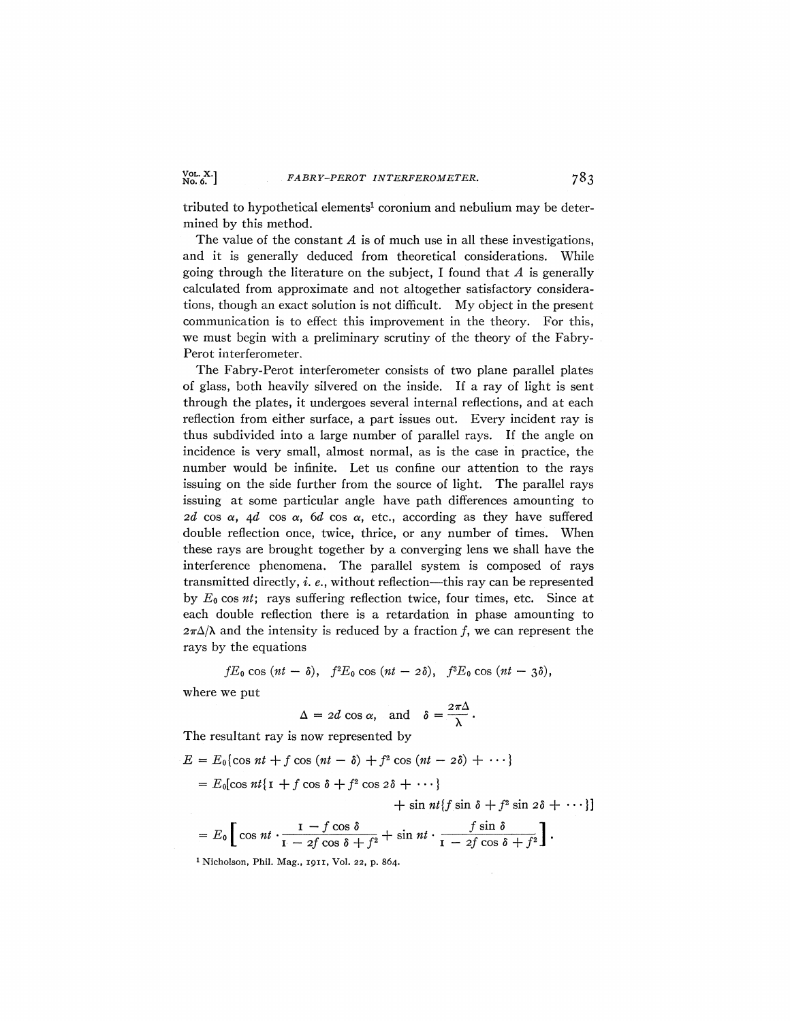**>.6. J** *FABRY-PEROT INTERFEROMETER.* 783

tributed to hypothetical elements<sup>1</sup> coronium and nebulium may be determined by this method.

The value of the constant *A* is of much use in all these investigations, and it is generally deduced from theoretical considerations. While going through the literature on the subject, I found that *A* is generally calculated from approximate and not altogether satisfactory considerations, though an exact solution is not difficult. My object in the present communication is to effect this improvement in the theory. For this, we must begin with a preliminary scrutiny of the theory of the Fabry-Perot interferometer.

The Fabry-Perot interferometer consists of two plane parallel plates of glass, both heavily silvered on the inside. If a ray of light is sent through the plates, it undergoes several internal reflections, and at each reflection from either surface, a part issues out. Every incident ray is thus subdivided into a large number of parallel rays. If the angle on incidence is very small, almost normal, as is the case in practice, the number would be infinite. Let us confine our attention to the rays issuing on the side further from the source of light. The parallel rays issuing at some particular angle have path differences amounting to *2d* cos  $\alpha$ , 4*d* cos  $\alpha$ , 6*d* cos  $\alpha$ , etc., according as they have suffered double reflection once, twice, thrice, or any number of times. When these rays are brought together by a converging lens we shall have the interference phenomena. The parallel system is composed of rays transmitted directly, *i. e.*, without reflection—this ray can be represented by  $E_0$  cos *nt*; rays suffering reflection twice, four times, etc. Since at each double reflection there is a retardation in phase amounting to  $2\pi\Delta/\lambda$  and the intensity is reduced by a fraction f, we can represent the rays by the equations

 $fE_0 \cos(nt - \delta), f^2E_0 \cos(nt - 2\delta), f^3E_0 \cos(nt - 3\delta),$ 

where we put

$$
\Delta = 2d \cos \alpha, \text{ and } \delta = \frac{2\pi\Delta}{\lambda}.
$$

The resultant ray is now represented by

$$
E = E_0 \{ \cos nt + f \cos (nt - \delta) + f^2 \cos (nt - 2\delta) + \cdots \}
$$

 $= E_0$ [cos *nt*{**i** + *f* cos  $\delta$  + *f*<sup>2</sup> cos  $2\delta$  + ···}

 $+ \sin nt$  f  $\sin \delta + f^2 \sin 2\delta + \cdots$ }

$$
= E_0 \left[ \cos nt \cdot \frac{1 - f \cos \delta}{1 - 2f \cos \delta + f^2} + \sin nt \cdot \frac{f \sin \delta}{1 - 2f \cos \delta + f^2} \right].
$$
  
<sup>1</sup> Nicholson, Phil. Mag., 1911, Vol. 22, p. 864.

 $V$ <sub>0</sub>. X.]<br>No. 6.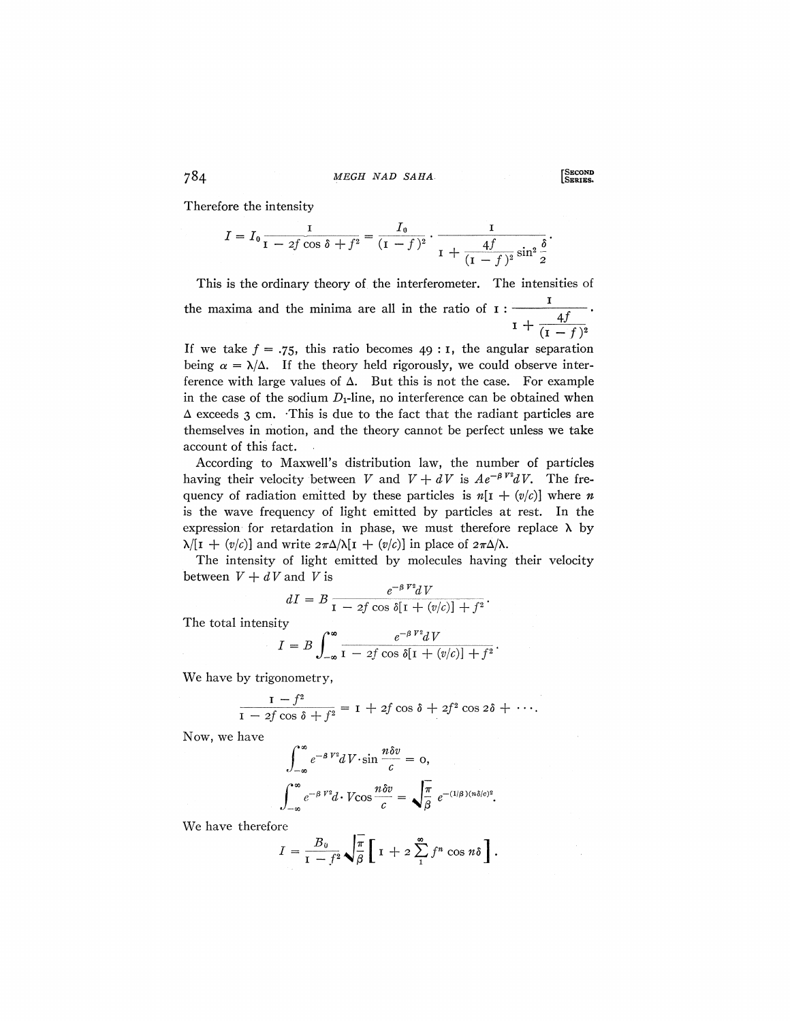$784$  *MEGH NAD SAHA* 

Therefore the intensity

$$
I = I_0 \frac{I}{I - 2f \cos \delta + f^2} = \frac{I_0}{(I - f)^2} \cdot \frac{I}{I + \frac{4f}{(I - f)^2} \sin^2 \frac{\delta}{2}}.
$$

This is the ordinary theory of the interferometer. The intensities of the maxima and the minima are all in the ratio of  $I : \frac{I}{I + \frac{4f}{(I - I)}}$ 

If we take  $f = .75$ , this ratio becomes 49 : 1, the angular separation being  $\alpha = \lambda/\Delta$ . If the theory held rigorously, we could observe interference with large values of  $\Delta$ . But this is not the case. For example in the case of the sodium  $D_1$ -line, no interference can be obtained when  $\Delta$  exceeds 3 cm. This is due to the fact that the radiant particles are themselves in motion, and the theory cannot be perfect unless we take account of this fact.

According to Maxwell's distribution law, the number of particles having their velocity between *V* and  $V + dV$  is  $Ae^{-\beta V^2}dV$ . The frequency of radiation emitted by these particles is  $n[i + (v/c)]$  where *n* is the wave frequency of light emitted by particles at rest. In the expression for retardation in phase, we must therefore replace  $\lambda$  by  $\lambda$ [I + (v/c)] and write  $2\pi\Delta/\lambda$ [I + (v/c)] in place of  $2\pi\Delta/\lambda$ .

The intensity of light emitted by molecules having their velocity between  $V + dV$  and *V* is

$$
dI = B \frac{e^{-\beta V^2} dV}{1 - 2f \cos \delta[1 + (v/c)] + f^2}.
$$

The total intensity

$$
I = B \int_{-\infty}^{\infty} \frac{e^{-\beta V^2} dV}{1 - 2f \cos \delta[1 + (v/c)] + f^2}.
$$

We have by trigonometry,

$$
\frac{1-f^2}{1-2f\cos\delta+f^2}=\mathbf{I}+2f\cos\delta+2f^2\cos2\delta+\cdots.
$$

Now, we have

$$
\int_{-\infty}^{\infty} e^{-\beta V^2} dV \cdot \sin \frac{n \delta v}{c} = 0,
$$
  

$$
\int_{-\infty}^{\infty} e^{-\beta V^2} d \cdot V \cos \frac{n \delta v}{c} = \sqrt{\frac{\pi}{\beta}} e^{-(1/\beta)(n \delta/c)^2}.
$$

We have therefore

$$
I = \frac{B_0}{1 - f^2} \sqrt{\frac{\pi}{\beta}} \left[ 1 + 2 \sum_{1}^{\infty} f^n \cos n\delta \right].
$$

**LSERIES.**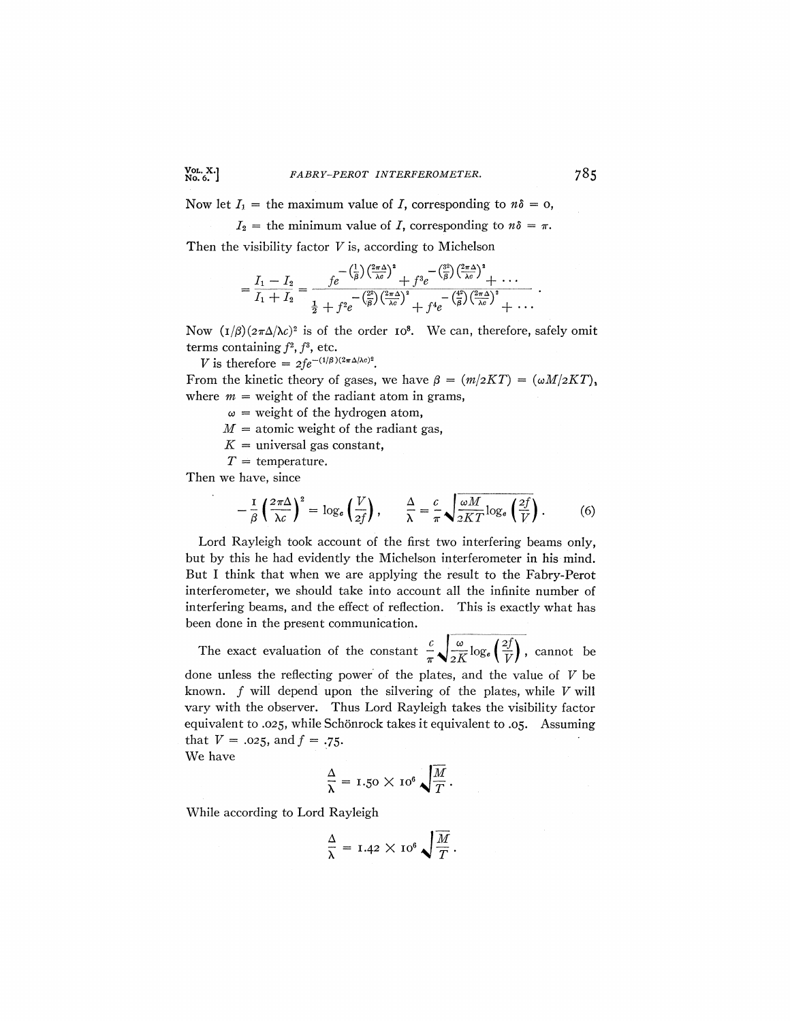Now let  $I_1$  = the maximum value of *I*, corresponding to  $n\delta = 0$ ,

 $I_2$  = the minimum value of *I*, corresponding to  $n\delta = \pi$ .

Then the visibility factor *V* is, according to Michelson

$$
=\frac{I_1-I_2}{I_1+I_2}=\frac{fe^{-\left(\frac{1}{\beta}\right)\left(\frac{2\pi\Delta}{\lambda c}\right)^2}+f^3e^{-\left(\frac{3^2}{\beta}\right)\left(\frac{2\pi\Delta}{\lambda c}\right)^2}+\cdots}{\frac{1}{2}+f^3e^{-\left(\frac{2^2}{\beta}\right)\left(\frac{2\pi\Delta}{\lambda c}\right)^2}+f^4e^{-\left(\frac{4^2}{\beta}\right)\left(\frac{2\pi\Delta}{\lambda c}\right)^2}+\cdots}.
$$

Now  $(I/\beta)(2\pi\Delta/\lambda c)^2$  is of the order 10<sup>8</sup>. We can, therefore, safely omit terms containing  $f^2$ ,  $f^3$ , etc.

V is therefore =  $2fe^{-(1/\beta)(2\pi\Delta/\lambda c)^2}$ .

From the kinetic theory of gases, we have  $\beta = (m/2KT) = (\omega M/2KT)$ , where  $m =$  weight of the radiant atom in grams,

 $\omega$  = weight of the hydrogen atom,

 $M =$  atomic weight of the radiant gas,

- $K =$  universal gas constant,
- *T =* temperature.

Then we have, since

$$
-\frac{1}{\beta}\left(\frac{2\pi\Delta}{\lambda c}\right)^2 = \log_e\left(\frac{V}{2f}\right), \qquad \frac{\Delta}{\lambda} = \frac{c}{\pi}\sqrt{\frac{\omega M}{2KT}\log_e\left(\frac{2f}{V}\right)}.
$$
 (6)

Lord Rayleigh took account of the first two interfering beams only, but by this he had evidently the Michelson interferometer in his mind. But I think that when we are applying the result to the Fabry-Perot interferometer, we should take into account all the infinite number of interfering beams, and the effect of reflection. This is exactly what has been done in the present communication.

 $c \mid \omega$ ,  $\left(2f\right)$ The exact evaluation of the constant  $\pi \sqrt{2K} \log_{e} (\sqrt{V})$ , cannot be done unless the reflecting power of the plates, and the value of *V* be known.  $f$  will depend upon the silvering of the plates, while  $V$  will vary with the observer. Thus Lord Rayleigh takes the visibility factor equivalent to .025, while Schonrock takes it equivalent to .05. Assuming that  $V = .025$ , and  $f = .75$ .

We have

$$
\frac{\Delta}{\lambda} = 1.50 \times 10^6 \sqrt{\frac{M}{T}}.
$$

While according to Lord Rayleigh

$$
\frac{\Delta}{\lambda} = 1.42 \times 10^6 \sqrt{\frac{M}{T}}.
$$